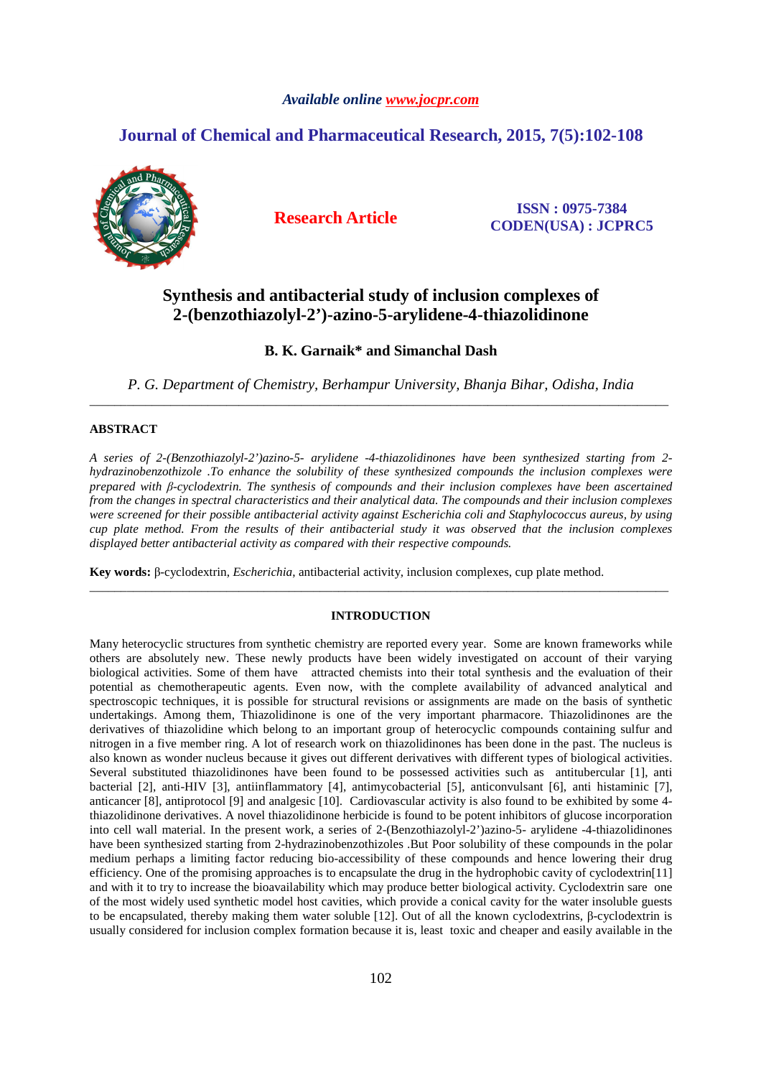# *Available online www.jocpr.com*

# **Journal of Chemical and Pharmaceutical Research, 2015, 7(5):102-108**



**Research Article ISSN : 0975-7384 CODEN(USA) : JCPRC5**

# **Synthesis and antibacterial study of inclusion complexes of 2-(benzothiazolyl-2')-azino-5-arylidene-4-thiazolidinone**

# **B. K. Garnaik\* and Simanchal Dash**

*P. G. Department of Chemistry, Berhampur University, Bhanja Bihar, Odisha, India*  \_\_\_\_\_\_\_\_\_\_\_\_\_\_\_\_\_\_\_\_\_\_\_\_\_\_\_\_\_\_\_\_\_\_\_\_\_\_\_\_\_\_\_\_\_\_\_\_\_\_\_\_\_\_\_\_\_\_\_\_\_\_\_\_\_\_\_\_\_\_\_\_\_\_\_\_\_\_\_\_\_\_\_\_\_\_\_\_\_\_\_\_\_

# **ABSTRACT**

*A series of 2-(Benzothiazolyl-2')azino-5- arylidene -4-thiazolidinones have been synthesized starting from 2 hydrazinobenzothizole .To enhance the solubility of these synthesized compounds the inclusion complexes were prepared with β-cyclodextrin. The synthesis of compounds and their inclusion complexes have been ascertained from the changes in spectral characteristics and their analytical data. The compounds and their inclusion complexes were screened for their possible antibacterial activity against Escherichia coli and Staphylococcus aureus, by using cup plate method. From the results of their antibacterial study it was observed that the inclusion complexes displayed better antibacterial activity as compared with their respective compounds.*

**Key words:** β-cyclodextrin, *Escherichia*, antibacterial activity, inclusion complexes, cup plate method.

# **INTRODUCTION**

\_\_\_\_\_\_\_\_\_\_\_\_\_\_\_\_\_\_\_\_\_\_\_\_\_\_\_\_\_\_\_\_\_\_\_\_\_\_\_\_\_\_\_\_\_\_\_\_\_\_\_\_\_\_\_\_\_\_\_\_\_\_\_\_\_\_\_\_\_\_\_\_\_\_\_\_\_\_\_\_\_\_\_\_\_\_\_\_\_\_\_\_\_

Many heterocyclic structures from synthetic chemistry are reported every year. Some are known frameworks while others are absolutely new. These newly products have been widely investigated on account of their varying biological activities. Some of them have attracted chemists into their total synthesis and the evaluation of their potential as chemotherapeutic agents. Even now, with the complete availability of advanced analytical and spectroscopic techniques, it is possible for structural revisions or assignments are made on the basis of synthetic undertakings. Among them, Thiazolidinone is one of the very important pharmacore. Thiazolidinones are the derivatives of thiazolidine which belong to an important group of heterocyclic compounds containing sulfur and nitrogen in a five member ring. A lot of research work on thiazolidinones has been done in the past. The nucleus is also known as wonder nucleus because it gives out different derivatives with different types of biological activities. Several substituted thiazolidinones have been found to be possessed activities such as antitubercular [1], anti bacterial [2], anti-HIV [3], antiinflammatory [4], antimycobacterial [5], anticonvulsant [6], anti histaminic [7], anticancer [8], antiprotocol [9] and analgesic [10]. Cardiovascular activity is also found to be exhibited by some 4 thiazolidinone derivatives. A novel thiazolidinone herbicide is found to be potent inhibitors of glucose incorporation into cell wall material. In the present work, a series of 2-(Benzothiazolyl-2')azino-5- arylidene -4-thiazolidinones have been synthesized starting from 2-hydrazinobenzothizoles .But Poor solubility of these compounds in the polar medium perhaps a limiting factor reducing bio-accessibility of these compounds and hence lowering their drug efficiency. One of the promising approaches is to encapsulate the drug in the hydrophobic cavity of cyclodextrin[11] and with it to try to increase the bioavailability which may produce better biological activity. Cyclodextrin sare one of the most widely used synthetic model host cavities, which provide a conical cavity for the water insoluble guests to be encapsulated, thereby making them water soluble [12]. Out of all the known cyclodextrins, β-cyclodextrin is usually considered for inclusion complex formation because it is, least toxic and cheaper and easily available in the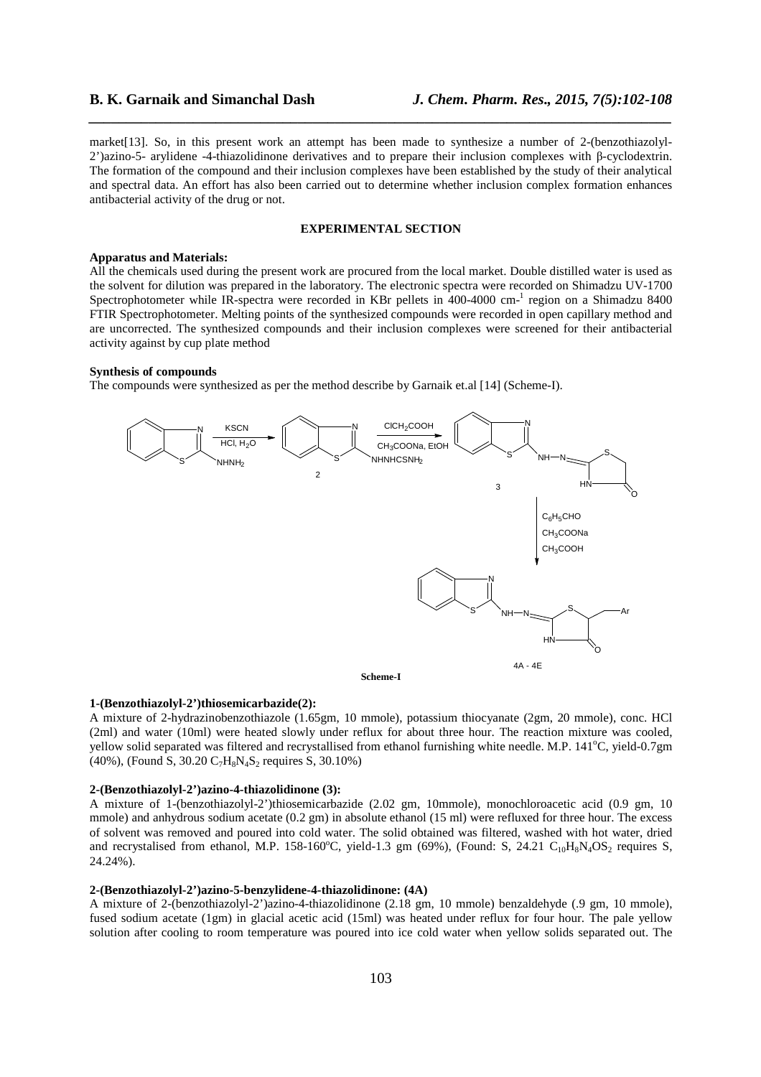market[13]. So, in this present work an attempt has been made to synthesize a number of 2-(benzothiazolyl-2')azino-5- arylidene -4-thiazolidinone derivatives and to prepare their inclusion complexes with β-cyclodextrin. The formation of the compound and their inclusion complexes have been established by the study of their analytical and spectral data. An effort has also been carried out to determine whether inclusion complex formation enhances antibacterial activity of the drug or not.

*\_\_\_\_\_\_\_\_\_\_\_\_\_\_\_\_\_\_\_\_\_\_\_\_\_\_\_\_\_\_\_\_\_\_\_\_\_\_\_\_\_\_\_\_\_\_\_\_\_\_\_\_\_\_\_\_\_\_\_\_\_\_\_\_\_\_\_\_\_\_\_\_\_\_\_\_\_\_*

#### **EXPERIMENTAL SECTION**

### **Apparatus and Materials:**

All the chemicals used during the present work are procured from the local market. Double distilled water is used as the solvent for dilution was prepared in the laboratory. The electronic spectra were recorded on Shimadzu UV-1700 Spectrophotometer while IR-spectra were recorded in KBr pellets in 400-4000 cm<sup>-1</sup> region on a Shimadzu 8400 FTIR Spectrophotometer. Melting points of the synthesized compounds were recorded in open capillary method and are uncorrected. The synthesized compounds and their inclusion complexes were screened for their antibacterial activity against by cup plate method

# **Synthesis of compounds**

The compounds were synthesized as per the method describe by Garnaik et.al [14] (Scheme-I).



#### **1-(Benzothiazolyl-2')thiosemicarbazide(2):**

A mixture of 2-hydrazinobenzothiazole (1.65gm, 10 mmole), potassium thiocyanate (2gm, 20 mmole), conc. HCl (2ml) and water (10ml) were heated slowly under reflux for about three hour. The reaction mixture was cooled, yellow solid separated was filtered and recrystallised from ethanol furnishing white needle. M.P. 141<sup>o</sup>C, yield-0.7gm (40%), (Found S, 30.20  $C_7H_8N_4S_2$  requires S, 30.10%)

### **2-(Benzothiazolyl-2')azino-4-thiazolidinone (3):**

A mixture of 1-(benzothiazolyl-2')thiosemicarbazide (2.02 gm, 10mmole), monochloroacetic acid (0.9 gm, 10 mmole) and anhydrous sodium acetate (0.2 gm) in absolute ethanol (15 ml) were refluxed for three hour. The excess of solvent was removed and poured into cold water. The solid obtained was filtered, washed with hot water, dried and recrystalised from ethanol, M.P. 158-160 $^{\circ}$ C, yield-1.3 gm (69%), (Found: S, 24.21 C<sub>10</sub>H<sub>8</sub>N<sub>4</sub>OS<sub>2</sub> requires S, 24.24%).

#### **2-(Benzothiazolyl-2')azino-5-benzylidene-4-thiazolidinone: (4A)**

A mixture of 2-(benzothiazolyl-2')azino-4-thiazolidinone (2.18 gm, 10 mmole) benzaldehyde (.9 gm, 10 mmole), fused sodium acetate (1gm) in glacial acetic acid (15ml) was heated under reflux for four hour. The pale yellow solution after cooling to room temperature was poured into ice cold water when yellow solids separated out. The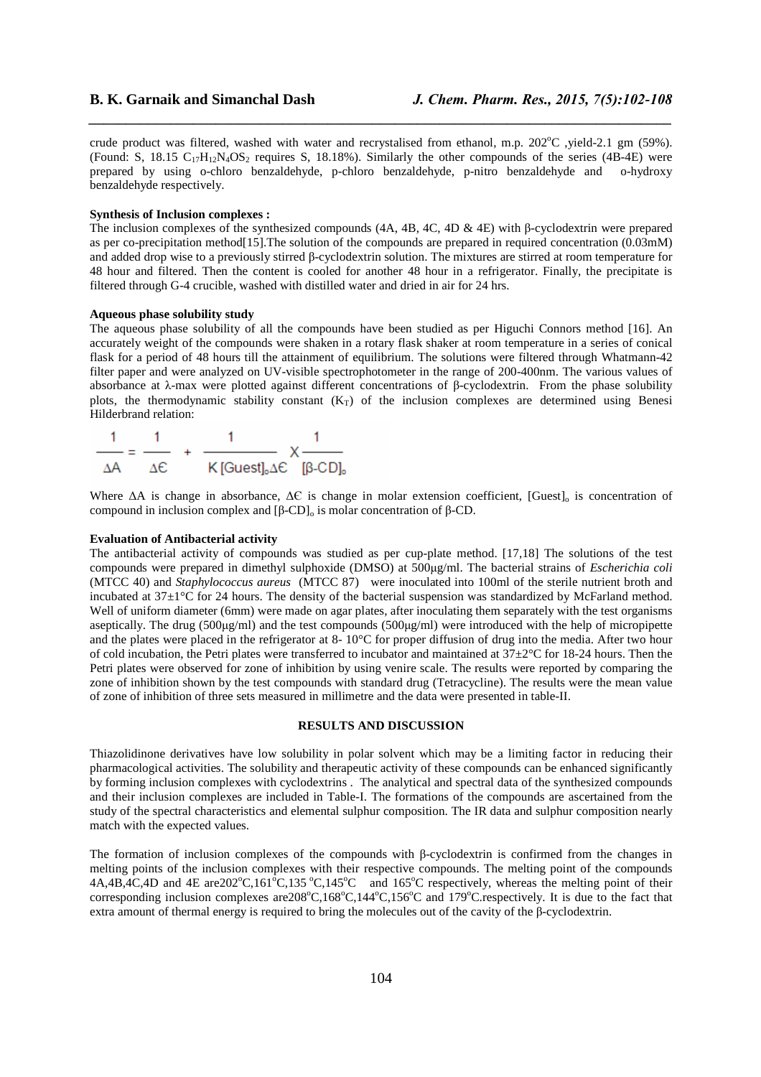crude product was filtered, washed with water and recrystalised from ethanol, m.p.  $202^{\circ}$ C ,yield-2.1 gm (59%). (Found: S, 18.15  $C_{17}H_{12}N_4OS_2$  requires S, 18.18%). Similarly the other compounds of the series (4B-4E) were prepared by using o-chloro benzaldehyde, p-chloro benzaldehyde, p-nitro benzaldehyde and o-hydroxy benzaldehyde respectively.

*\_\_\_\_\_\_\_\_\_\_\_\_\_\_\_\_\_\_\_\_\_\_\_\_\_\_\_\_\_\_\_\_\_\_\_\_\_\_\_\_\_\_\_\_\_\_\_\_\_\_\_\_\_\_\_\_\_\_\_\_\_\_\_\_\_\_\_\_\_\_\_\_\_\_\_\_\_\_*

## **Synthesis of Inclusion complexes :**

The inclusion complexes of the synthesized compounds (4A, 4B, 4C, 4D & 4E) with β-cyclodextrin were prepared as per co-precipitation method<sup>[15]</sup>. The solution of the compounds are prepared in required concentration (0.03mM) and added drop wise to a previously stirred β-cyclodextrin solution. The mixtures are stirred at room temperature for 48 hour and filtered. Then the content is cooled for another 48 hour in a refrigerator. Finally, the precipitate is filtered through G-4 crucible, washed with distilled water and dried in air for 24 hrs.

## **Aqueous phase solubility study**

The aqueous phase solubility of all the compounds have been studied as per Higuchi Connors method [16]. An accurately weight of the compounds were shaken in a rotary flask shaker at room temperature in a series of conical flask for a period of 48 hours till the attainment of equilibrium. The solutions were filtered through Whatmann-42 filter paper and were analyzed on UV-visible spectrophotometer in the range of 200-400nm. The various values of absorbance at λ-max were plotted against different concentrations of β-cyclodextrin. From the phase solubility plots, the thermodynamic stability constant  $(K_T)$  of the inclusion complexes are determined using Benesi Hilderbrand relation:

$$
\frac{1}{\Delta A} = \frac{1}{\Delta E} + \frac{1}{K \text{[Guest]}_{0} \Delta E} \times \frac{1}{[\beta \text{-CD]}_{0}}
$$

Where ∆A is change in absorbance, ∆€ is change in molar extension coefficient, [Guest]<sub>o</sub> is concentration of compound in inclusion complex and  $[β$ -CD<sub>l<sub>o</sub></sub> is molar concentration of  $β$ -CD.

### **Evaluation of Antibacterial activity**

The antibacterial activity of compounds was studied as per cup-plate method. [17,18] The solutions of the test compounds were prepared in dimethyl sulphoxide (DMSO) at 500µg/ml. The bacterial strains of *Escherichia coli*  (MTCC 40) and *Staphylococcus aureus* (MTCC 87) were inoculated into 100ml of the sterile nutrient broth and incubated at  $37\pm1\degree$ C for 24 hours. The density of the bacterial suspension was standardized by McFarland method. Well of uniform diameter (6mm) were made on agar plates, after inoculating them separately with the test organisms aseptically. The drug (500µg/ml) and the test compounds (500µg/ml) were introduced with the help of micropipette and the plates were placed in the refrigerator at 8- 10°C for proper diffusion of drug into the media. After two hour of cold incubation, the Petri plates were transferred to incubator and maintained at  $37+2^{\circ}$ C for  $18-24$  hours. Then the Petri plates were observed for zone of inhibition by using venire scale. The results were reported by comparing the zone of inhibition shown by the test compounds with standard drug (Tetracycline). The results were the mean value of zone of inhibition of three sets measured in millimetre and the data were presented in table-II.

#### **RESULTS AND DISCUSSION**

Thiazolidinone derivatives have low solubility in polar solvent which may be a limiting factor in reducing their pharmacological activities. The solubility and therapeutic activity of these compounds can be enhanced significantly by forming inclusion complexes with cyclodextrins . The analytical and spectral data of the synthesized compounds and their inclusion complexes are included in Table-I. The formations of the compounds are ascertained from the study of the spectral characteristics and elemental sulphur composition. The IR data and sulphur composition nearly match with the expected values.

The formation of inclusion complexes of the compounds with β-cyclodextrin is confirmed from the changes in melting points of the inclusion complexes with their respective compounds. The melting point of the compounds  $4A,4B,4C,4D$  and  $4E$  are  $202^{\circ}$ C,161<sup>o</sup>C,135<sup>o</sup>C,145<sup>o</sup>C and 165<sup>o</sup>C respectively, whereas the melting point of their corresponding inclusion complexes are  $208^{\circ}C$ ,  $168^{\circ}C$ ,  $144^{\circ}C$ ,  $156^{\circ}C$  and  $179^{\circ}C$ . respectively. It is due to the fact that extra amount of thermal energy is required to bring the molecules out of the cavity of the β-cyclodextrin.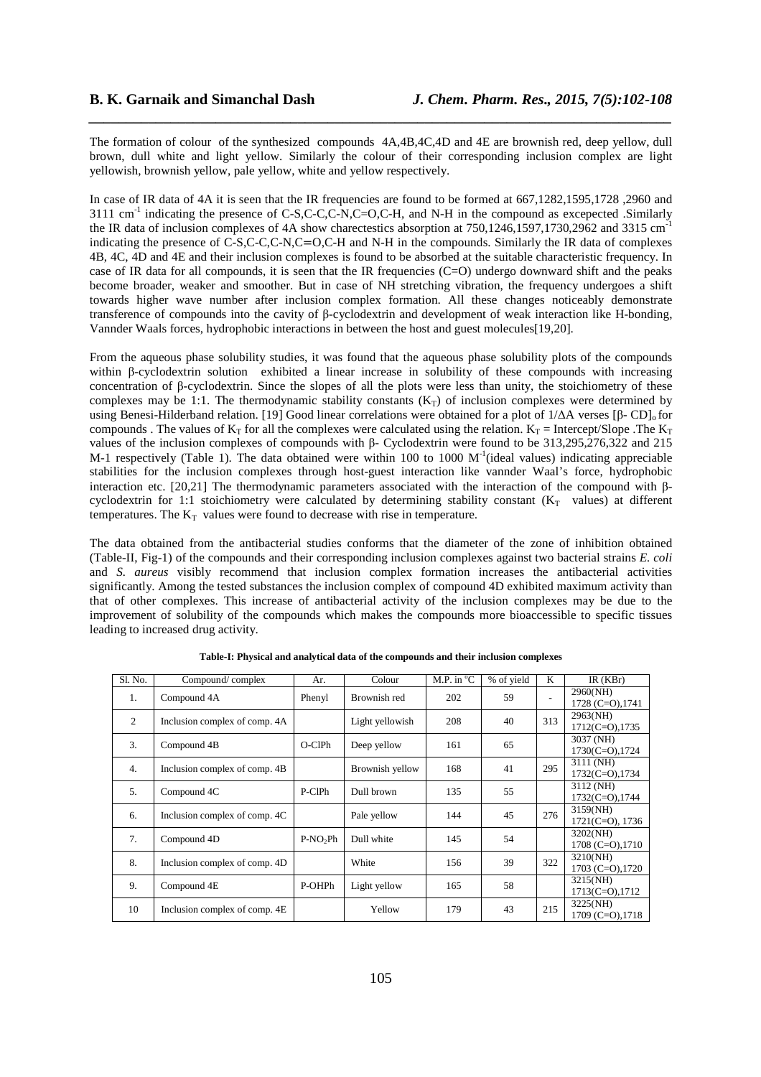The formation of colour of the synthesized compounds 4A,4B,4C,4D and 4E are brownish red, deep yellow, dull brown, dull white and light yellow. Similarly the colour of their corresponding inclusion complex are light yellowish, brownish yellow, pale yellow, white and yellow respectively.

*\_\_\_\_\_\_\_\_\_\_\_\_\_\_\_\_\_\_\_\_\_\_\_\_\_\_\_\_\_\_\_\_\_\_\_\_\_\_\_\_\_\_\_\_\_\_\_\_\_\_\_\_\_\_\_\_\_\_\_\_\_\_\_\_\_\_\_\_\_\_\_\_\_\_\_\_\_\_*

In case of IR data of 4A it is seen that the IR frequencies are found to be formed at 667,1282,1595,1728,2960 and  $3111 \text{ cm}^{-1}$  indicating the presence of C-S,C-C,C-N,C=O,C-H, and N-H in the compound as excepected .Similarly the IR data of inclusion complexes of 4A show charectestics absorption at 750,1246,1597,1730,2962 and 3315 cm<sup>-</sup> indicating the presence of C-S,C-C,C-N,C=O,C-H and N-H in the compounds. Similarly the IR data of complexes 4B, 4C, 4D and 4E and their inclusion complexes is found to be absorbed at the suitable characteristic frequency. In case of IR data for all compounds, it is seen that the IR frequencies (C=O) undergo downward shift and the peaks become broader, weaker and smoother. But in case of NH stretching vibration, the frequency undergoes a shift towards higher wave number after inclusion complex formation. All these changes noticeably demonstrate transference of compounds into the cavity of β-cyclodextrin and development of weak interaction like H-bonding, Vannder Waals forces, hydrophobic interactions in between the host and guest molecules[19,20].

From the aqueous phase solubility studies, it was found that the aqueous phase solubility plots of the compounds within β-cyclodextrin solution exhibited a linear increase in solubility of these compounds with increasing concentration of β-cyclodextrin. Since the slopes of all the plots were less than unity, the stoichiometry of these complexes may be 1:1. The thermodynamic stability constants  $(K_T)$  of inclusion complexes were determined by using Benesi-Hilderband relation. [19] Good linear correlations were obtained for a plot of  $1/\Delta A$  verses [β- CD]<sub>0</sub> for compounds. The values of  $K_T$  for all the complexes were calculated using the relation.  $K_T$  = Intercept/Slope .The  $K_T$ values of the inclusion complexes of compounds with β- Cyclodextrin were found to be 313,295,276,322 and 215 M-1 respectively (Table 1). The data obtained were within 100 to 1000  $M<sup>-1</sup>$  (ideal values) indicating appreciable stabilities for the inclusion complexes through host-guest interaction like vannder Waal's force, hydrophobic interaction etc. [20,21] The thermodynamic parameters associated with the interaction of the compound with βcyclodextrin for 1:1 stoichiometry were calculated by determining stability constant  $(K_T$  values) at different temperatures. The  $K_T$  values were found to decrease with rise in temperature.

The data obtained from the antibacterial studies conforms that the diameter of the zone of inhibition obtained (Table-II, Fig-1) of the compounds and their corresponding inclusion complexes against two bacterial strains *E. coli* and *S. aureus* visibly recommend that inclusion complex formation increases the antibacterial activities significantly. Among the tested substances the inclusion complex of compound 4D exhibited maximum activity than that of other complexes. This increase of antibacterial activity of the inclusion complexes may be due to the improvement of solubility of the compounds which makes the compounds more bioaccessible to specific tissues leading to increased drug activity.

| Sl. No.        | Compound/complex              | Ar.       | Colour          | M.P. in $^{\circ}$ C | % of yield | K                        | IR(KBr)                           |
|----------------|-------------------------------|-----------|-----------------|----------------------|------------|--------------------------|-----------------------------------|
| 1.             | Compound 4A                   | Phenyl    | Brownish red    | 202                  | 59         | $\overline{\phantom{a}}$ | 2960(NH)<br>1728 (C=O), 1741      |
| $\overline{2}$ | Inclusion complex of comp. 4A |           | Light yellowish | 208                  | 40         | 313                      | 2963(NH)<br>$1712(C=O)$ , 1735    |
| 3.             | Compound 4B                   | O-ClPh    | Deep yellow     | 161                  | 65         |                          | 3037 (NH)<br>$1730(C=O)$ , $1724$ |
| 4.             | Inclusion complex of comp. 4B |           | Brownish yellow | 168                  | 41         | 295                      | 3111 (NH)<br>$1732(C=O)$ , 1734   |
| 5.             | Compound 4C                   | P-CIPh    | Dull brown      | 135                  | 55         |                          | 3112 (NH)<br>$1732(C=0)$ , $1744$ |
| 6.             | Inclusion complex of comp. 4C |           | Pale yellow     | 144                  | 45         | 276                      | 3159(NH)<br>$1721(C=O)$ , 1736    |
| 7.             | Compound 4D                   | $P-NO2Ph$ | Dull white      | 145                  | 54         |                          | 3202(NH)<br>$1708$ (C=O), $1710$  |
| 8.             | Inclusion complex of comp. 4D |           | White           | 156                  | 39         | 322                      | 3210(NH)<br>$1703$ (C=O), $1720$  |
| 9.             | Compound 4E                   | P-OHPh    | Light yellow    | 165                  | 58         |                          | 3215(NH)<br>1713(C=O), 1712       |
| 10             | Inclusion complex of comp. 4E |           | Yellow          | 179                  | 43         | 215                      | 3225(NH)<br>$1709$ (C=O), $1718$  |

**Table-I: Physical and analytical data of the compounds and their inclusion complexes**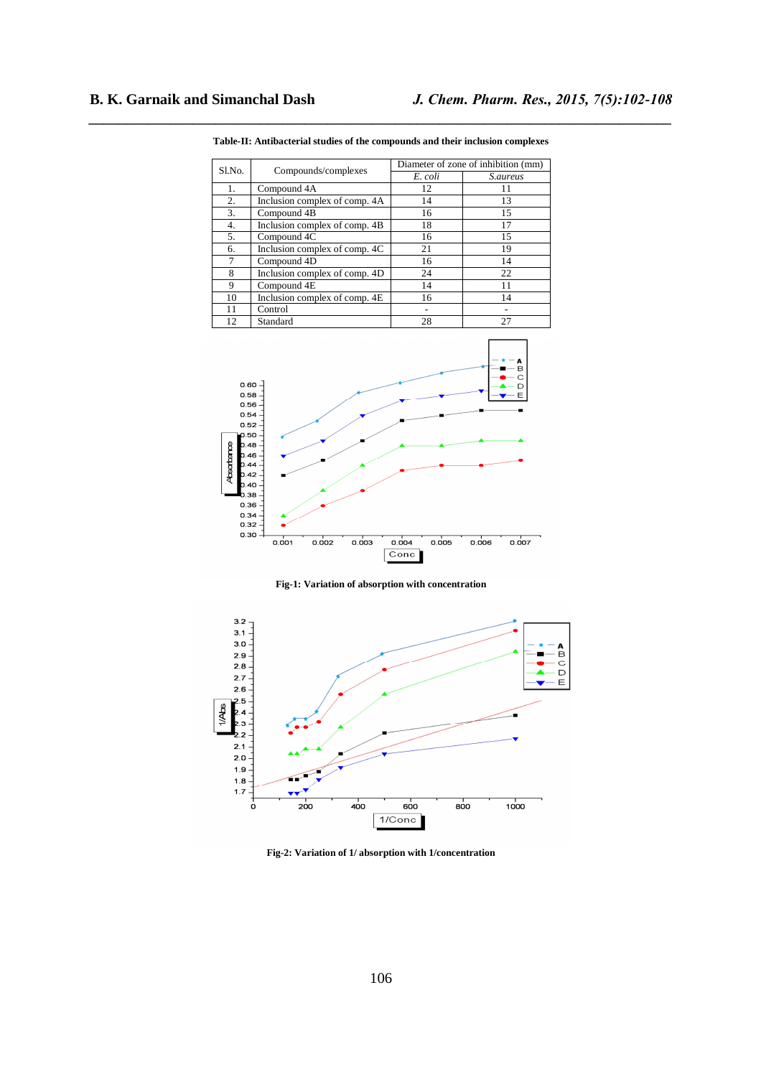| Sl.No. |                               | Diameter of zone of inhibition (mm) |                 |  |  |
|--------|-------------------------------|-------------------------------------|-----------------|--|--|
|        | Compounds/complexes           | E. coli                             | <i>S.aureus</i> |  |  |
| 1.     | Compound 4A                   | 12                                  | 11              |  |  |
| 2.     | Inclusion complex of comp. 4A | 14                                  | 13              |  |  |
| 3.     | Compound 4B                   | 16                                  | 15              |  |  |
| 4.     | Inclusion complex of comp. 4B | 18                                  | 17              |  |  |
| 5.     | Compound 4C                   | 16                                  | 15              |  |  |
| 6.     | Inclusion complex of comp. 4C | 21                                  | 19              |  |  |
| 7      | Compound 4D                   | 16                                  | 14              |  |  |
| 8      | Inclusion complex of comp. 4D | 24                                  | 22              |  |  |
| 9      | Compound 4E                   | 14                                  | 11              |  |  |
| 10     | Inclusion complex of comp. 4E | 16                                  | 14              |  |  |
| 11     | Control                       |                                     |                 |  |  |
| 12     | Standard                      | 28                                  | 27              |  |  |

*\_\_\_\_\_\_\_\_\_\_\_\_\_\_\_\_\_\_\_\_\_\_\_\_\_\_\_\_\_\_\_\_\_\_\_\_\_\_\_\_\_\_\_\_\_\_\_\_\_\_\_\_\_\_\_\_\_\_\_\_\_\_\_\_\_\_\_\_\_\_\_\_\_\_\_\_\_\_* **Table-II: Antibacterial studies of the compounds and their inclusion complexes** 



**Fig-1: Variation of absorption with concentration** 



**Fig-2: Variation of 1/ absorption with 1/concentration**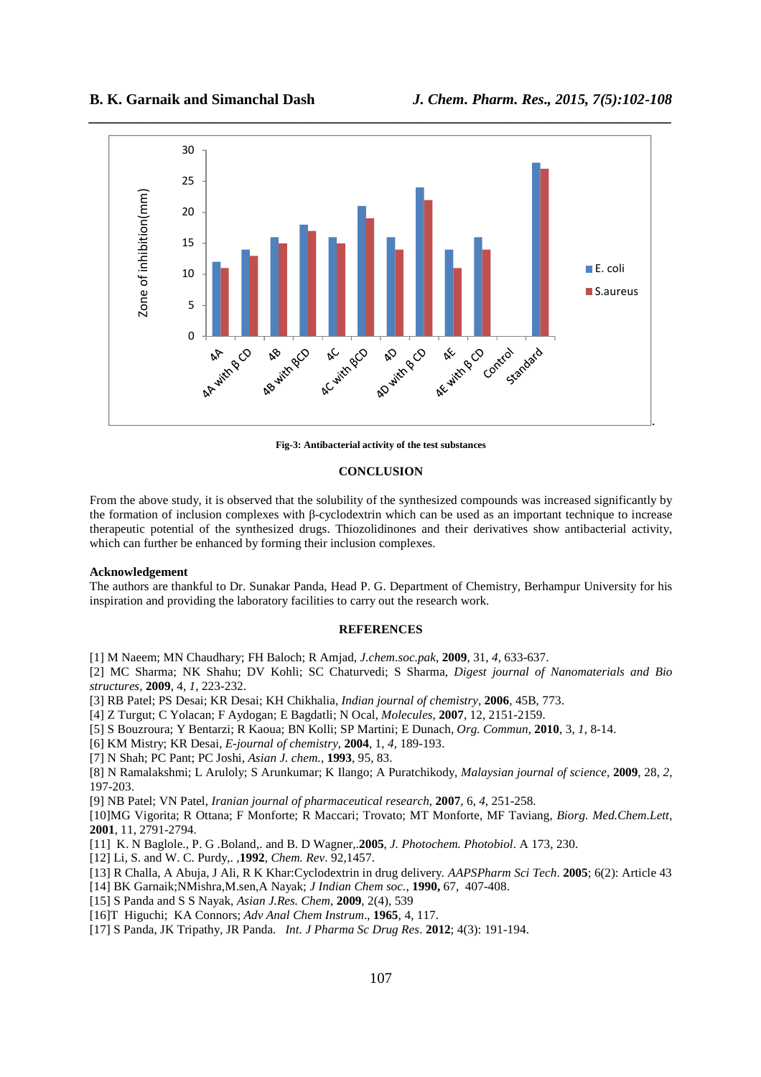

**Fig-3: Antibacterial activity of the test substances** 

# **CONCLUSION**

From the above study, it is observed that the solubility of the synthesized compounds was increased significantly by the formation of inclusion complexes with β-cyclodextrin which can be used as an important technique to increase therapeutic potential of the synthesized drugs. Thiozolidinones and their derivatives show antibacterial activity, which can further be enhanced by forming their inclusion complexes.

# **Acknowledgement**

The authors are thankful to Dr. Sunakar Panda, Head P. G. Department of Chemistry, Berhampur University for his inspiration and providing the laboratory facilities to carry out the research work.

# **REFERENCES**

[1] M Naeem; MN Chaudhary; FH Baloch; R Amjad, *J.chem.soc.pak*, **2009**, 31, *4*, 633-637.

[2] MC Sharma; NK Shahu; DV Kohli; SC Chaturvedi; S Sharma, *Digest journal of Nanomaterials and Bio structures,* **2009**, 4, *1*, 223-232.

[3] RB Patel; PS Desai; KR Desai; KH Chikhalia, *Indian journal of chemistry*, **2006**, 45B, 773.

[4] Z Turgut; C Yolacan; F Aydogan; E Bagdatli; N Ocal, *Molecules*, **2007**, 12, 2151-2159.

[5] S Bouzroura; Y Bentarzi; R Kaoua; BN Kolli; SP Martini; E Dunach, *Org. Commun*, **2010**, 3, *1*, 8-14.

[6] KM Mistry; KR Desai, *E-journal of chemistry*, **2004**, 1, *4*, 189-193.

[7] N Shah; PC Pant; PC Joshi, *Asian J. chem.*, **1993**, 95, 83.

[8] N Ramalakshmi; L Aruloly; S Arunkumar; K Ilango; A Puratchikody, *Malaysian journal of science,* **2009**, 28, *2*, 197-203.

[9] NB Patel; VN Patel, *Iranian journal of pharmaceutical research*, **2007**, 6, *4*, 251-258.

[10]MG Vigorita; R Ottana; F Monforte; R Maccari; Trovato; MT Monforte, MF Taviang, *Biorg. Med.Chem.Lett*, **2001**, 11, 2791-2794.

[11] K. N Baglole., P. G .Boland,. and B. D Wagner,.**2005**, *J. Photochem. Photobiol*. A 173, 230.

- [12] Li, S. and W. C. Purdy,. ,**1992**, *Chem. Rev*. 92,1457.
- [13] R Challa, A Abuja, J Ali, R K Khar:Cyclodextrin in drug delivery*. AAPSPharm Sci Tech*. **2005**; 6(2): Article 43

[14] BK Garnaik;NMishra,M.sen,A Nayak; *J Indian Chem soc.*, **1990,** 67, 407-408.

- [15] S Panda and S S Nayak, *Asian J.Res. Chem*, **2009**, 2(4), 539
- [16]T Higuchi; KA Connors; *Adv Anal Chem Instrum*., **1965**, 4, 117.
- [17] S Panda, JK Tripathy, JR Panda*. Int. J Pharma Sc Drug Res*. **2012**; 4(3): 191-194.